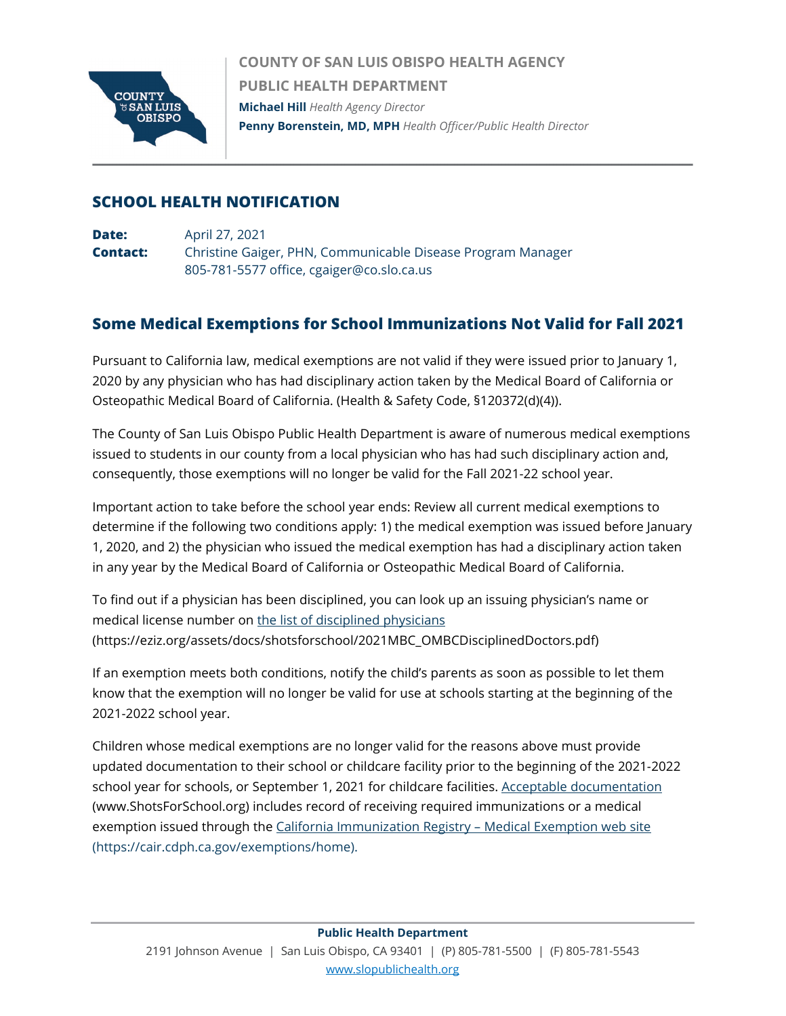

**COUNTY OF SAN LUIS OBISPO HEALTH AGENCY PUBLIC HEALTH DEPARTMENT Michael Hill** *Health Agency Director* **Penny Borenstein, MD, MPH** *Health Officer/Public Health Director*

## **SCHOOL HEALTH NOTIFICATION**

**Date:** April 27, 2021 **Contact:** Christine Gaiger, PHN, Communicable Disease Program Manager 805-781-5577 office, cgaiger@co.slo.ca.us

## **Some Medical Exemptions for School Immunizations Not Valid for Fall 2021**

Pursuant to California law, medical exemptions are not valid if they were issued prior to January 1, 2020 by any physician who has had disciplinary action taken by the Medical Board of California or Osteopathic Medical Board of California. (Health & Safety Code, §120372(d)(4)).

The County of San Luis Obispo Public Health Department is aware of numerous medical exemptions issued to students in our county from a local physician who has had such disciplinary action and, consequently, those exemptions will no longer be valid for the Fall 2021-22 school year.

Important action to take before the school year ends: Review all current medical exemptions to determine if the following two conditions apply: 1) the medical exemption was issued before January 1, 2020, and 2) the physician who issued the medical exemption has had a disciplinary action taken in any year by the Medical Board of California or Osteopathic Medical Board of California.

To find out if a physician has been disciplined, you can look up an issuing physician's name or medical license number on [the list of disciplined physicians](https://eziz.org/assets/docs/shotsforschool/2021MBC_OMBCDisciplinedDoctors.pdf) (https://eziz.org/assets/docs/shotsforschool/2021MBC\_OMBCDisciplinedDoctors.pdf)

If an exemption meets both conditions, notify the child's parents as soon as possible to let them know that the exemption will no longer be valid for use at schools starting at the beginning of the 2021-2022 school year.

Children whose medical exemptions are no longer valid for the reasons above must provide updated documentation to their school or childcare facility prior to the beginning of the 2021-2022 school year for schools, or September 1, 2021 for childcare facilities. [Acceptable documentation](https://www.shotsforschool.org/) (www.ShotsForSchool.org) includes record of receiving required immunizations or a medical exemption issued through the [California Immunization Registry –](https://cair.cdph.ca.gov/exemptions/home) Medical Exemption web site (https://cair.cdph.ca.gov/exemptions/home).